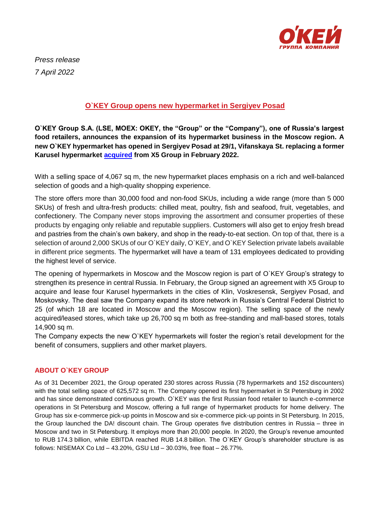

*Press release 7 April 2022*

## **O`KEY Group opens new hypermarket in Sergiyev Posad**

**O`KEY Group S.A. (LSE, MOEX: OKEY, the "Group" or the "Company"), one of Russia's largest food retailers, announces the expansion of its hypermarket business in the Moscow region. A new O`KEY hypermarket has opened in Sergiyev Posad at 29/1, Vifanskaya St. replacing a former Karusel hypermarket [acquired](https://www.okmarket.ru/en/about/press/news/gk-o-key-usilivaet-pozitsii-v-moskovskom-regione-/) from X5 Group in February 2022.** 

With a selling space of 4,067 sq m, the new hypermarket places emphasis on a rich and well-balanced selection of goods and a high-quality shopping experience.

The store offers more than 30,000 food and non-food SKUs, including a wide range (more than 5 000 SKUs) of fresh and ultra-fresh products: chilled meat, poultry, fish and seafood, fruit, vegetables, and confectionery. The Company never stops improving the assortment and consumer properties of these products by engaging only reliable and reputable suppliers. Customers will also get to enjoy fresh bread and pastries from the chain's own bakery, and shop in the ready-to-eat section. On top of that, there is a selection of around 2,000 SKUs of our O`KEY daily, O`KEY, and O`KEY Selection private labels available in different price segments. The hypermarket will have a team of 131 employees dedicated to providing the highest level of service.

The opening of hypermarkets in Moscow and the Moscow region is part of O`KEY Group's strategy to strengthen its presence in central Russia. In February, the Group signed an agreement with X5 Group to acquire and lease four Karusel hypermarkets in the cities of Klin, Voskresensk, Sergiyev Posad, and Moskovsky. The deal saw the Company expand its store network in Russia's Central Federal District to 25 (of which 18 are located in Moscow and the Moscow region). The selling space of the newly acquired/leased stores, which take up 26,700 sq m both as free-standing and mall-based stores, totals 14,900 sq m.

The Company expects the new O`KEY hypermarkets will foster the region's retail development for the benefit of consumers, suppliers and other market players.

## **ABOUT O`KEY GROUP**

As of 31 December 2021, the Group operated 230 stores across Russia (78 hypermarkets and 152 discounters) with the total selling space of 625,572 sq m. The Company opened its first hypermarket in St Petersburg in 2002 and has since demonstrated continuous growth. O`KEY was the first Russian food retailer to launch e-commerce operations in St Petersburg and Moscow, offering a full range of hypermarket products for home delivery. The Group has six e-commerce pick-up points in Moscow and six e-commerce pick-up points in St Petersburg. In 2015, the Group launched the DA! discount chain. The Group operates five distribution centres in Russia – three in Moscow and two in St Petersburg. It employs more than 20,000 people. In 2020, the Group's revenue amounted to RUB 174.3 billion, while EBITDA reached RUB 14.8 billion. The O`KEY Group's shareholder structure is as follows: NISEMAX Co Ltd – 43.20%, GSU Ltd – 30.03%, free float – 26.77%.